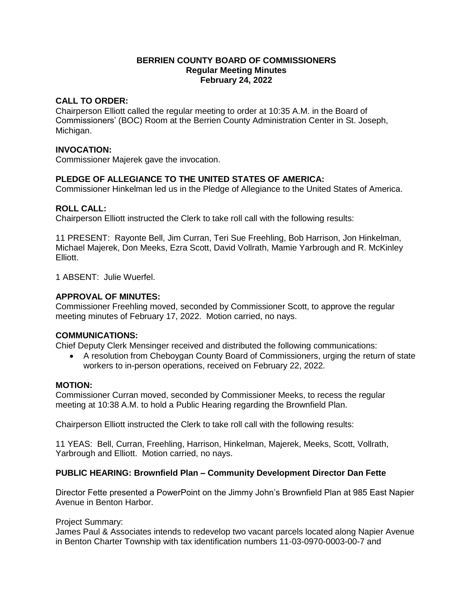### **BERRIEN COUNTY BOARD OF COMMISSIONERS Regular Meeting Minutes February 24, 2022**

### **CALL TO ORDER:**

Chairperson Elliott called the regular meeting to order at 10:35 A.M. in the Board of Commissioners' (BOC) Room at the Berrien County Administration Center in St. Joseph, Michigan.

### **INVOCATION:**

Commissioner Majerek gave the invocation.

# **PLEDGE OF ALLEGIANCE TO THE UNITED STATES OF AMERICA:**

Commissioner Hinkelman led us in the Pledge of Allegiance to the United States of America.

### **ROLL CALL:**

Chairperson Elliott instructed the Clerk to take roll call with the following results:

11 PRESENT: Rayonte Bell, Jim Curran, Teri Sue Freehling, Bob Harrison, Jon Hinkelman, Michael Majerek, Don Meeks, Ezra Scott, David Vollrath, Mamie Yarbrough and R. McKinley Elliott.

1 ABSENT: Julie Wuerfel.

#### **APPROVAL OF MINUTES:**

Commissioner Freehling moved, seconded by Commissioner Scott, to approve the regular meeting minutes of February 17, 2022. Motion carried, no nays.

#### **COMMUNICATIONS:**

Chief Deputy Clerk Mensinger received and distributed the following communications:

 A resolution from Cheboygan County Board of Commissioners, urging the return of state workers to in-person operations, received on February 22, 2022.

#### **MOTION:**

Commissioner Curran moved, seconded by Commissioner Meeks, to recess the regular meeting at 10:38 A.M. to hold a Public Hearing regarding the Brownfield Plan.

Chairperson Elliott instructed the Clerk to take roll call with the following results:

11 YEAS: Bell, Curran, Freehling, Harrison, Hinkelman, Majerek, Meeks, Scott, Vollrath, Yarbrough and Elliott. Motion carried, no nays.

#### **PUBLIC HEARING: Brownfield Plan – Community Development Director Dan Fette**

Director Fette presented a PowerPoint on the Jimmy John's Brownfield Plan at 985 East Napier Avenue in Benton Harbor.

#### Project Summary:

James Paul & Associates intends to redevelop two vacant parcels located along Napier Avenue in Benton Charter Township with tax identification numbers 11-03-0970-0003-00-7 and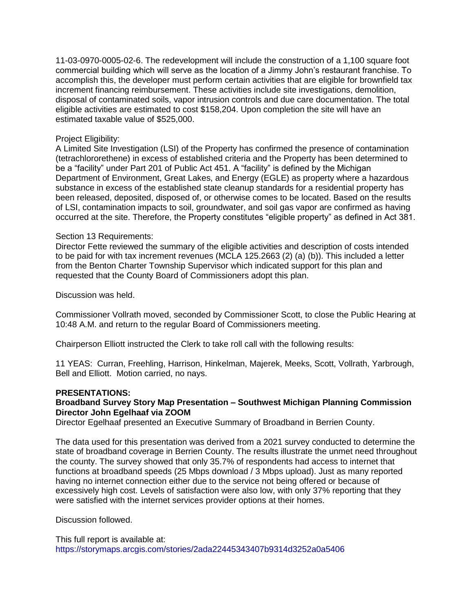11-03-0970-0005-02-6. The redevelopment will include the construction of a 1,100 square foot commercial building which will serve as the location of a Jimmy John's restaurant franchise. To accomplish this, the developer must perform certain activities that are eligible for brownfield tax increment financing reimbursement. These activities include site investigations, demolition, disposal of contaminated soils, vapor intrusion controls and due care documentation. The total eligible activities are estimated to cost \$158,204. Upon completion the site will have an estimated taxable value of \$525,000.

### Project Eligibility:

A Limited Site Investigation (LSI) of the Property has confirmed the presence of contamination (tetrachlororethene) in excess of established criteria and the Property has been determined to be a "facility" under Part 201 of Public Act 451. A "facility" is defined by the Michigan Department of Environment, Great Lakes, and Energy (EGLE) as property where a hazardous substance in excess of the established state cleanup standards for a residential property has been released, deposited, disposed of, or otherwise comes to be located. Based on the results of LSI, contamination impacts to soil, groundwater, and soil gas vapor are confirmed as having occurred at the site. Therefore, the Property constitutes "eligible property" as defined in Act 381.

### Section 13 Requirements:

Director Fette reviewed the summary of the eligible activities and description of costs intended to be paid for with tax increment revenues (MCLA 125.2663 (2) (a) (b)). This included a letter from the Benton Charter Township Supervisor which indicated support for this plan and requested that the County Board of Commissioners adopt this plan.

Discussion was held.

Commissioner Vollrath moved, seconded by Commissioner Scott, to close the Public Hearing at 10:48 A.M. and return to the regular Board of Commissioners meeting.

Chairperson Elliott instructed the Clerk to take roll call with the following results:

11 YEAS: Curran, Freehling, Harrison, Hinkelman, Majerek, Meeks, Scott, Vollrath, Yarbrough, Bell and Elliott. Motion carried, no nays.

#### **PRESENTATIONS:**

# **Broadband Survey Story Map Presentation – Southwest Michigan Planning Commission Director John Egelhaaf via ZOOM**

Director Egelhaaf presented an Executive Summary of Broadband in Berrien County.

The data used for this presentation was derived from a 2021 survey conducted to determine the state of broadband coverage in Berrien County. The results illustrate the unmet need throughout the county. The survey showed that only 35.7% of respondents had access to internet that functions at broadband speeds (25 Mbps download / 3 Mbps upload). Just as many reported having no internet connection either due to the service not being offered or because of excessively high cost. Levels of satisfaction were also low, with only 37% reporting that they were satisfied with the internet services provider options at their homes.

Discussion followed.

This full report is available at: <https://storymaps.arcgis.com/stories/2ada22445343407b9314d3252a0a5406>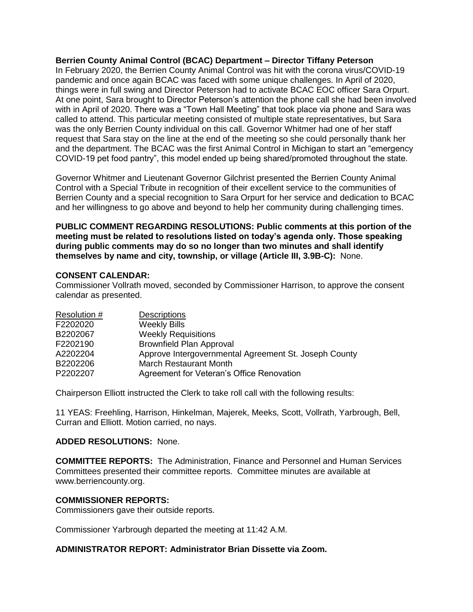### **Berrien County Animal Control (BCAC) Department – Director Tiffany Peterson**

In February 2020, the Berrien County Animal Control was hit with the corona virus/COVID-19 pandemic and once again BCAC was faced with some unique challenges. In April of 2020, things were in full swing and Director Peterson had to activate BCAC EOC officer Sara Orpurt. At one point, Sara brought to Director Peterson's attention the phone call she had been involved with in April of 2020. There was a "Town Hall Meeting" that took place via phone and Sara was called to attend. This particular meeting consisted of multiple state representatives, but Sara was the only Berrien County individual on this call. Governor Whitmer had one of her staff request that Sara stay on the line at the end of the meeting so she could personally thank her and the department. The BCAC was the first Animal Control in Michigan to start an "emergency COVID-19 pet food pantry", this model ended up being shared/promoted throughout the state.

Governor Whitmer and Lieutenant Governor Gilchrist presented the Berrien County Animal Control with a Special Tribute in recognition of their excellent service to the communities of Berrien County and a special recognition to Sara Orpurt for her service and dedication to BCAC and her willingness to go above and beyond to help her community during challenging times.

**PUBLIC COMMENT REGARDING RESOLUTIONS: Public comments at this portion of the meeting must be related to resolutions listed on today's agenda only. Those speaking during public comments may do so no longer than two minutes and shall identify themselves by name and city, township, or village (Article III, 3.9B-C):** None.

#### **CONSENT CALENDAR:**

Commissioner Vollrath moved, seconded by Commissioner Harrison, to approve the consent calendar as presented.

| Resolution # | <b>Descriptions</b>                                   |
|--------------|-------------------------------------------------------|
| F2202020     | <b>Weekly Bills</b>                                   |
| B2202067     | <b>Weekly Requisitions</b>                            |
| F2202190     | <b>Brownfield Plan Approval</b>                       |
| A2202204     | Approve Intergovernmental Agreement St. Joseph County |
| B2202206     | <b>March Restaurant Month</b>                         |
| P2202207     | Agreement for Veteran's Office Renovation             |

Chairperson Elliott instructed the Clerk to take roll call with the following results:

11 YEAS: Freehling, Harrison, Hinkelman, Majerek, Meeks, Scott, Vollrath, Yarbrough, Bell, Curran and Elliott. Motion carried, no nays.

# **ADDED RESOLUTIONS:** None.

**COMMITTEE REPORTS:** The Administration, Finance and Personnel and Human Services Committees presented their committee reports. Committee minutes are available at www.berriencounty.org.

# **COMMISSIONER REPORTS:**

Commissioners gave their outside reports.

Commissioner Yarbrough departed the meeting at 11:42 A.M.

# **ADMINISTRATOR REPORT: Administrator Brian Dissette via Zoom.**